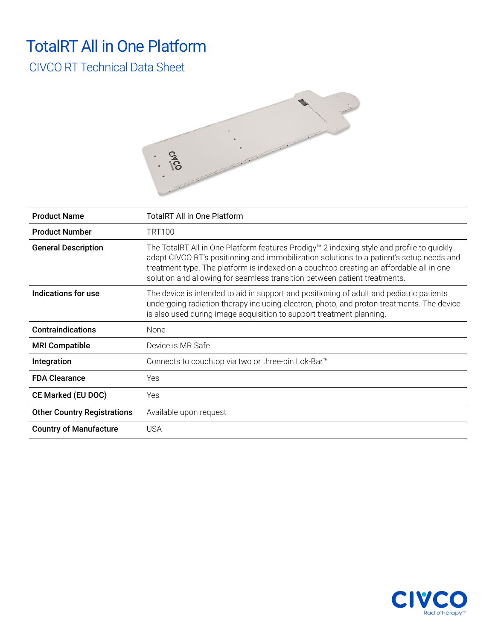### TotalRT All in One Platform

### CIVCO RT Technical Data Sheet



| <b>Product Name</b>                | TotaIRT All in One Platform                                                                                                                                                                                                                                                                                                                                   |
|------------------------------------|---------------------------------------------------------------------------------------------------------------------------------------------------------------------------------------------------------------------------------------------------------------------------------------------------------------------------------------------------------------|
| <b>Product Number</b>              | <b>TRT100</b>                                                                                                                                                                                                                                                                                                                                                 |
| <b>General Description</b>         | The TotalRT All in One Platform features Prodigy™ 2 indexing style and profile to quickly<br>adapt CIVCO RT's positioning and immobilization solutions to a patient's setup needs and<br>treatment type. The platform is indexed on a couchtop creating an affordable all in one<br>solution and allowing for seamless transition between patient treatments. |
| Indications for use                | The device is intended to aid in support and positioning of adult and pediatric patients<br>undergoing radiation therapy including electron, photo, and proton treatments. The device<br>is also used during image acquisition to support treatment planning.                                                                                                 |
| <b>Contraindications</b>           | None                                                                                                                                                                                                                                                                                                                                                          |
| <b>MRI Compatible</b>              | Device is MR Safe                                                                                                                                                                                                                                                                                                                                             |
| Integration                        | Connects to couchtop via two or three-pin Lok-Bar <sup>™</sup>                                                                                                                                                                                                                                                                                                |
| <b>FDA Clearance</b>               | <b>Yes</b>                                                                                                                                                                                                                                                                                                                                                    |
| <b>CE Marked (EU DOC)</b>          | <b>Yes</b>                                                                                                                                                                                                                                                                                                                                                    |
| <b>Other Country Registrations</b> | Available upon request                                                                                                                                                                                                                                                                                                                                        |
| <b>Country of Manufacture</b>      | <b>USA</b>                                                                                                                                                                                                                                                                                                                                                    |

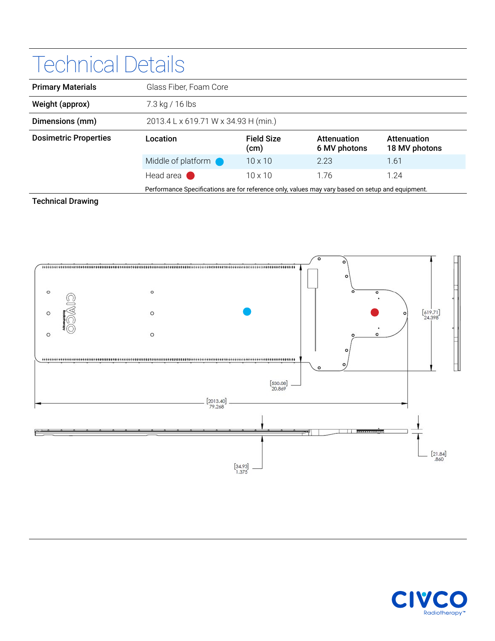# Technical Details

| <b>Primary Materials</b>     | Glass Fiber, Foam Core                                                                           |                           |                             |                              |
|------------------------------|--------------------------------------------------------------------------------------------------|---------------------------|-----------------------------|------------------------------|
| Weight (approx)              | 7.3 kg / 16 lbs                                                                                  |                           |                             |                              |
| Dimensions (mm)              | 2013.4 L x 619.71 W x 34.93 H (min.)                                                             |                           |                             |                              |
| <b>Dosimetric Properties</b> | Location                                                                                         | <b>Field Size</b><br>(cm) | Attenuation<br>6 MV photons | Attenuation<br>18 MV photons |
|                              | Middle of platform <b>O</b>                                                                      | $10 \times 10$            | 2.23                        | 1.61                         |
|                              | Head area                                                                                        | $10 \times 10$            | 1.76                        | 1.24                         |
|                              | Performance Specifications are for reference only, values may vary based on setup and equipment. |                           |                             |                              |

#### Technical Drawing